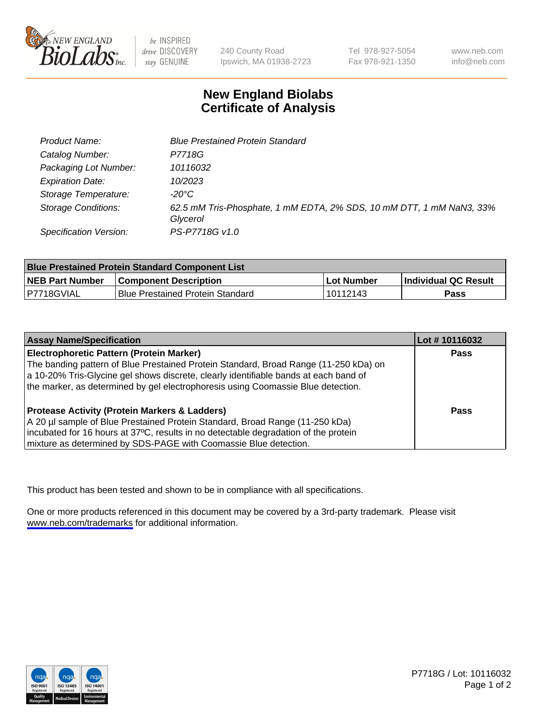

be INSPIRED drive DISCOVERY stay GENUINE

240 County Road Ipswich, MA 01938-2723 Tel 978-927-5054 Fax 978-921-1350

www.neb.com info@neb.com

## **New England Biolabs Certificate of Analysis**

| <b>Product Name:</b>       | <b>Blue Prestained Protein Standard</b>                                          |  |
|----------------------------|----------------------------------------------------------------------------------|--|
| Catalog Number:            | P7718G                                                                           |  |
| Packaging Lot Number:      | 10116032                                                                         |  |
| <b>Expiration Date:</b>    | 10/2023                                                                          |  |
| Storage Temperature:       | $-20^{\circ}$ C                                                                  |  |
| <b>Storage Conditions:</b> | 62.5 mM Tris-Phosphate, 1 mM EDTA, 2% SDS, 10 mM DTT, 1 mM NaN3, 33%<br>Glycerol |  |
| Specification Version:     | PS-P7718G v1.0                                                                   |  |

| <b>Blue Prestained Protein Standard Component List</b> |                                         |             |                      |  |
|--------------------------------------------------------|-----------------------------------------|-------------|----------------------|--|
| <b>NEB Part Number</b>                                 | <b>Component Description</b>            | ∣Lot Number | Individual QC Result |  |
| I P7718GVIAL                                           | <b>Blue Prestained Protein Standard</b> | ! 10112143  | <b>Pass</b>          |  |

| <b>Assay Name/Specification</b>                                                      | Lot #10116032 |
|--------------------------------------------------------------------------------------|---------------|
| <b>Electrophoretic Pattern (Protein Marker)</b>                                      | <b>Pass</b>   |
| The banding pattern of Blue Prestained Protein Standard, Broad Range (11-250 kDa) on |               |
| a 10-20% Tris-Glycine gel shows discrete, clearly identifiable bands at each band of |               |
| the marker, as determined by gel electrophoresis using Coomassie Blue detection.     |               |
| <b>Protease Activity (Protein Markers &amp; Ladders)</b>                             | <b>Pass</b>   |
| A 20 µl sample of Blue Prestained Protein Standard, Broad Range (11-250 kDa)         |               |
| incubated for 16 hours at 37°C, results in no detectable degradation of the protein  |               |
| mixture as determined by SDS-PAGE with Coomassie Blue detection.                     |               |

This product has been tested and shown to be in compliance with all specifications.

One or more products referenced in this document may be covered by a 3rd-party trademark. Please visit <www.neb.com/trademarks>for additional information.